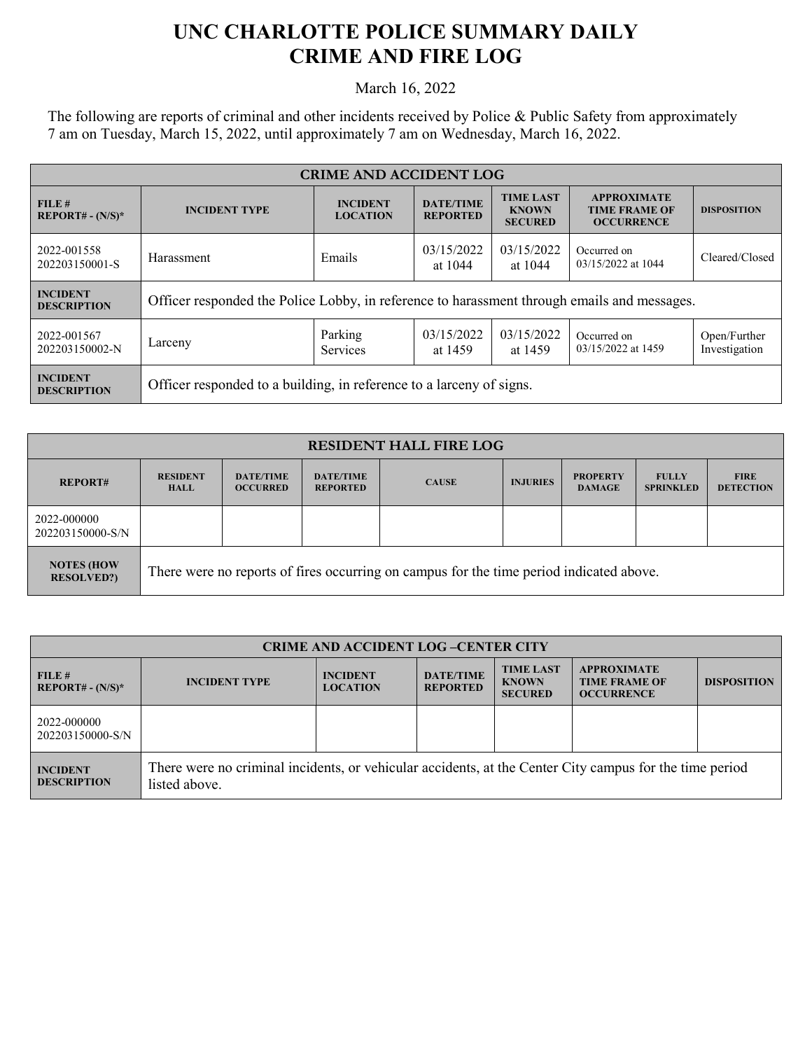## **UNC CHARLOTTE POLICE SUMMARY DAILY CRIME AND FIRE LOG**

March 16, 2022

The following are reports of criminal and other incidents received by Police & Public Safety from approximately 7 am on Tuesday, March 15, 2022, until approximately 7 am on Wednesday, March 16, 2022.

| <b>CRIME AND ACCIDENT LOG</b>         |                                                                                             |                                    |                                     |                                                    |                                                                 |                               |  |
|---------------------------------------|---------------------------------------------------------------------------------------------|------------------------------------|-------------------------------------|----------------------------------------------------|-----------------------------------------------------------------|-------------------------------|--|
| FILE#<br>$REPORT# - (N/S)*$           | <b>INCIDENT TYPE</b>                                                                        | <b>INCIDENT</b><br><b>LOCATION</b> | <b>DATE/TIME</b><br><b>REPORTED</b> | <b>TIME LAST</b><br><b>KNOWN</b><br><b>SECURED</b> | <b>APPROXIMATE</b><br><b>TIME FRAME OF</b><br><b>OCCURRENCE</b> | <b>DISPOSITION</b>            |  |
| 2022-001558<br>202203150001-S         | Harassment                                                                                  | Emails                             | 03/15/2022<br>at 1044               | 03/15/2022<br>at 1044                              | Occurred on<br>03/15/2022 at 1044                               | Cleared/Closed                |  |
| <b>INCIDENT</b><br><b>DESCRIPTION</b> | Officer responded the Police Lobby, in reference to harassment through emails and messages. |                                    |                                     |                                                    |                                                                 |                               |  |
| 2022-001567<br>202203150002-N         | Larceny                                                                                     | Parking<br><b>Services</b>         | 03/15/2022<br>at 1459               | 03/15/2022<br>at 1459                              | Occurred on<br>03/15/2022 at 1459                               | Open/Further<br>Investigation |  |
| <b>INCIDENT</b><br><b>DESCRIPTION</b> | Officer responded to a building, in reference to a larceny of signs.                        |                                    |                                     |                                                    |                                                                 |                               |  |

| <b>RESIDENT HALL FIRE LOG</b>           |                                                                                         |                                     |                                     |              |                 |                                  |                                  |                                 |
|-----------------------------------------|-----------------------------------------------------------------------------------------|-------------------------------------|-------------------------------------|--------------|-----------------|----------------------------------|----------------------------------|---------------------------------|
| <b>REPORT#</b>                          | <b>RESIDENT</b><br><b>HALL</b>                                                          | <b>DATE/TIME</b><br><b>OCCURRED</b> | <b>DATE/TIME</b><br><b>REPORTED</b> | <b>CAUSE</b> | <b>INJURIES</b> | <b>PROPERTY</b><br><b>DAMAGE</b> | <b>FULLY</b><br><b>SPRINKLED</b> | <b>FIRE</b><br><b>DETECTION</b> |
| 2022-000000<br>202203150000-S/N         |                                                                                         |                                     |                                     |              |                 |                                  |                                  |                                 |
| <b>NOTES (HOW)</b><br><b>RESOLVED?)</b> | There were no reports of fires occurring on campus for the time period indicated above. |                                     |                                     |              |                 |                                  |                                  |                                 |

| <b>CRIME AND ACCIDENT LOG-CENTER CITY</b> |                                                                                                                          |                                    |                                     |                                                    |                                                                 |                    |  |
|-------------------------------------------|--------------------------------------------------------------------------------------------------------------------------|------------------------------------|-------------------------------------|----------------------------------------------------|-----------------------------------------------------------------|--------------------|--|
| FILE#<br>$REPORT# - (N/S)*$               | <b>INCIDENT TYPE</b>                                                                                                     | <b>INCIDENT</b><br><b>LOCATION</b> | <b>DATE/TIME</b><br><b>REPORTED</b> | <b>TIME LAST</b><br><b>KNOWN</b><br><b>SECURED</b> | <b>APPROXIMATE</b><br><b>TIME FRAME OF</b><br><b>OCCURRENCE</b> | <b>DISPOSITION</b> |  |
| 2022-000000<br>202203150000-S/N           |                                                                                                                          |                                    |                                     |                                                    |                                                                 |                    |  |
| <b>INCIDENT</b><br><b>DESCRIPTION</b>     | There were no criminal incidents, or vehicular accidents, at the Center City campus for the time period<br>listed above. |                                    |                                     |                                                    |                                                                 |                    |  |